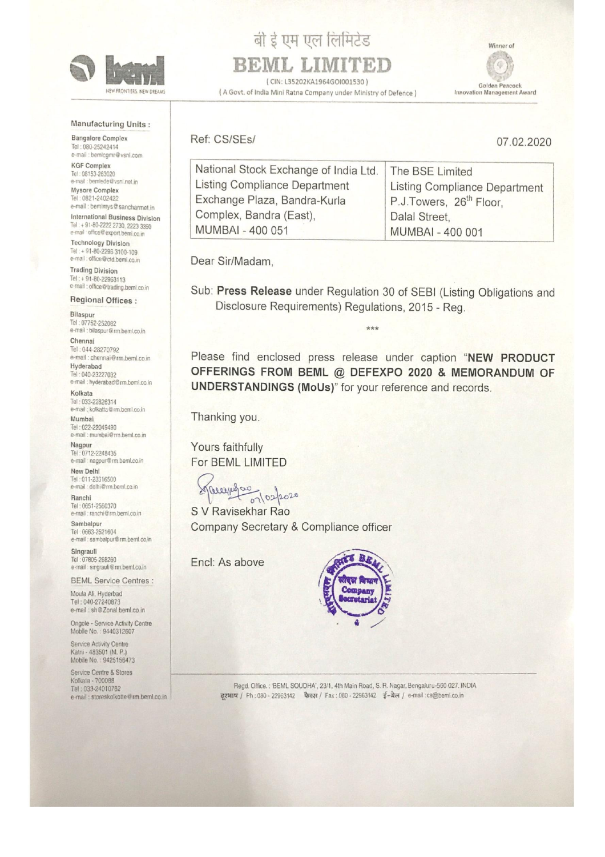

#### Manufacturing Units :

**Bangalore Complex** Tel: 080-25242414 e-mail : bemlcgmr@vsnl.com

**KGF Complex** Tel: 08153-263020 e-mail: bemiede@ysnl.net in Mysore Complex

Tel: 0821-2402422 e-mail : bemimys@sancharmet.in

**International Business Division** Tel: + 91-80-2222 2730, 2223 3350<br>e-mail: office@export.beml.co.in

**Technology Division** Tel: + 91-80-2296 3100-109 e-mail : office@ctd.beml.co.in

**Trading Division** Tel: +91-80-22963113 e-mail : office@trading.beml.co.in

Regional Offices:

Bilaspur Tel: 07752-252082 e-mail : bilaspur@rm.beml.co.in

Chennai Tel: 044-28270792 e-mail : chennai@rm.beml.co.in Hyderabad Tel: 040-23227032 e-mail : hyderabad@rm.beml.co.in

Kolkata Tel: 033-22826314 e-mail ; kolkatta@rm.beml.co.in

Mumbai Tel: 022-22049490 e-mail : mumbai@rm.beml.co.in Nagpur

Tel: 0712-2248435 e-mail : nagpur@rm.beml.co.in New Delhi

Tel: 011-23316500 e-mail : delhi@rm.beml.co.in

Ranchi Tel: 0651-2560370 e-mail : ranchi@rm.beml.co.in

Sambalpur Tel: 0663-2521604 e-mail : sambalpur@rm.beml.co.in

Singrauli Tel: 07805-268260 e-mail : singrauli@rm.beml.co.in

**BEML Service Centres:** 

Moula Ali, Hyderbad Tel: 040-27240873 e-mail: sh@Zonal.beml.co.in

Ongole - Service Activity Centre Mobile No.: 9440312607

Service Activity Centre Katni - 483501 (M. P.) Mobile No.: 9425156473

Service Centre & Stores Kolkata - 700088 Tel: 033-24010782 e-mail : storeskolkotte@rm.beml.co.in

बी ई एम एल लिमिटेड BEML LIMITED

(CIN: L35202KA1964GOI001530) (A Govt. of India Mini Ratna Company under Ministry of Defence)

Winner of G Golden Peacock **Innovation Management Award** 

Ref: CS/SEs/

07.02.2020

| National Stock Exchange of India Ltd. | The BSE Limited                      |
|---------------------------------------|--------------------------------------|
| Listing Compliance Department         | <b>Listing Compliance Department</b> |
| Exchange Plaza, Bandra-Kurla          | P.J.Towers, 26 <sup>th</sup> Floor.  |
| Complex, Bandra (East),               | Dalal Street.                        |
| MUMBAI - 400 051                      | MUMBAI - 400 001                     |
|                                       |                                      |

Dear Sir/Madam,

Sub: Press Release under Regulation 30 of SEBI (Listing Obligations and Disclosure Requirements) Regulations, 2015 - Reg.

 $***$ 

Please find enclosed press release under caption "NEW PRODUCT OFFERINGS FROM BEML @ DEFEXPO 2020 & MEMORANDUM OF UNDERSTANDINGS (MoUs)" for your reference and records.

Thanking you.

Yours faithfully For BEML LIMITED

Margaret 07/02/2020

S V Ravisekhar Rao Company Secretary & Compliance officer

Encl: As above



Regd. Office.: 'BEML SOUDHA', 23/1, 4th Main Road, S. R. Nagar, Bengaluru-560 027. INDIA दरभाष / Ph: 080 - 22963142 फैक्स / Fax: 080 - 22963142 ई-मेल / e-mail: cs@beml.co.in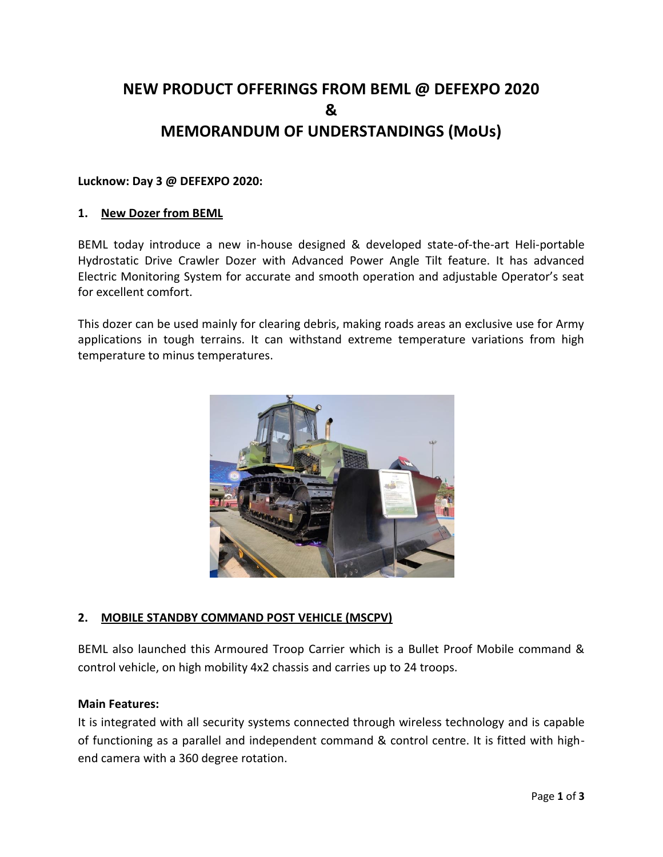# **NEW PRODUCT OFFERINGS FROM BEML @ DEFEXPO 2020 & MEMORANDUM OF UNDERSTANDINGS (MoUs)**

### **Lucknow: Day 3 @ DEFEXPO 2020:**

#### **1. New Dozer from BEML**

BEML today introduce a new in-house designed & developed state-of-the-art Heli-portable Hydrostatic Drive Crawler Dozer with Advanced Power Angle Tilt feature. It has advanced Electric Monitoring System for accurate and smooth operation and adjustable Operator's seat for excellent comfort.

This dozer can be used mainly for clearing debris, making roads areas an exclusive use for Army applications in tough terrains. It can withstand extreme temperature variations from high temperature to minus temperatures.



# **2. MOBILE STANDBY COMMAND POST VEHICLE (MSCPV)**

BEML also launched this Armoured Troop Carrier which is a Bullet Proof Mobile command & control vehicle, on high mobility 4x2 chassis and carries up to 24 troops.

#### **Main Features:**

It is integrated with all security systems connected through wireless technology and is capable of functioning as a parallel and independent command & control centre. It is fitted with highend camera with a 360 degree rotation.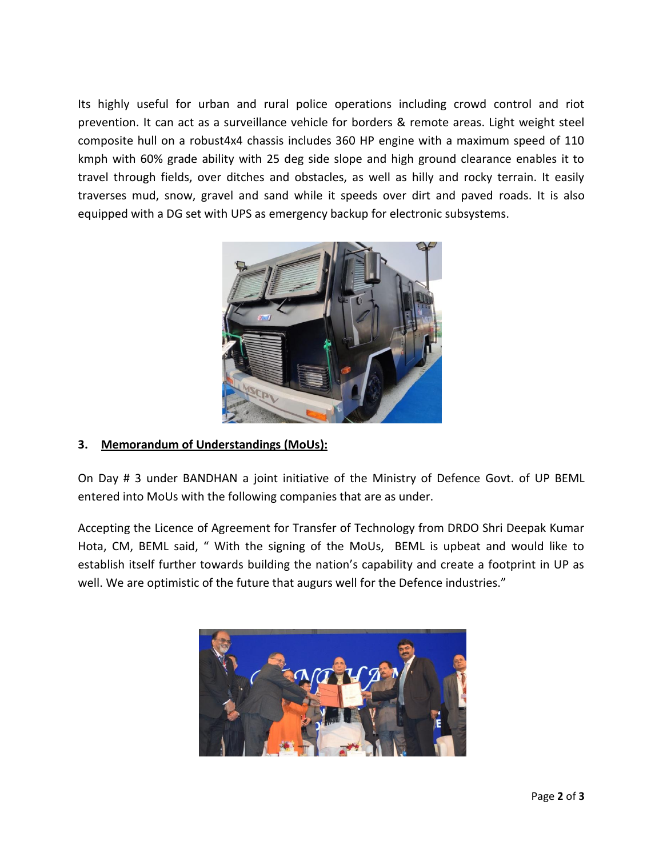Its highly useful for urban and rural police operations including crowd control and riot prevention. It can act as a surveillance vehicle for borders & remote areas. Light weight steel composite hull on a robust4x4 chassis includes 360 HP engine with a maximum speed of 110 kmph with 60% grade ability with 25 deg side slope and high ground clearance enables it to travel through fields, over ditches and obstacles, as well as hilly and rocky terrain. It easily traverses mud, snow, gravel and sand while it speeds over dirt and paved roads. It is also equipped with a DG set with UPS as emergency backup for electronic subsystems.



# **3. Memorandum of Understandings (MoUs):**

On Day # 3 under BANDHAN a joint initiative of the Ministry of Defence Govt. of UP BEML entered into MoUs with the following companies that are as under.

Accepting the Licence of Agreement for Transfer of Technology from DRDO Shri Deepak Kumar Hota, CM, BEML said, " With the signing of the MoUs, BEML is upbeat and would like to establish itself further towards building the nation's capability and create a footprint in UP as well. We are optimistic of the future that augurs well for the Defence industries."